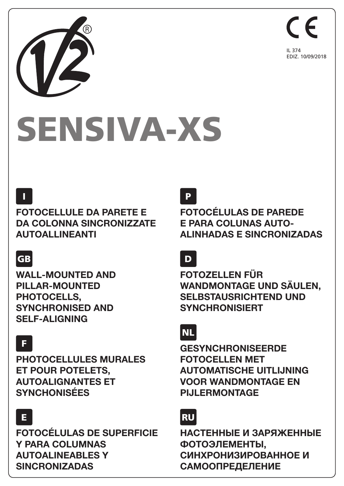$\epsilon$ IL 374 EDIZ. 10/09/2018

# SENSIVA-XS

# I

**FOTOCELLULE DA PARETE E DA COLONNA SINCRONIZZATE AUTOALLINEANTI**

# GB

**WALL-MOUNTED AND PILLAR-MOUNTED PHOTOCELLS, SYNCHRONISED AND SELF-ALIGNING** 

# F

**PHOTOCELLULES MURALES ET POUR POTELETS, AUTOALIGNANTES ET SYNCHONISÉES**

# E

**FOTOCÉLULAS DE SUPERFICIE Y PARA COLUMNAS AUTOALINEABLES Y SINCRONIZADAS**

# P

**FOTOCÉLULAS DE PAREDE E PARA COLUNAS AUTO-ALINHADAS E SINCRONIZADAS**

# D

**FOTOZELLEN FÜR WANDMONTAGE UND SÄULEN, SELBSTAUSRICHTEND UND SYNCHRONISIERT**

# NL

**GESYNCHRONISEERDE FOTOCELLEN MET AUTOMATISCHE UITLIJNING VOOR WANDMONTAGE EN PIJLERMONTAGE**

# RU

**НАСТЕННЫЕ И ЗАРЯЖЕННЫЕ ФОТОЭЛЕМЕНТЫ, СИНХРОНИЗИРОВАННОЕ И САМООПРЕДЕЛЕНИЕ**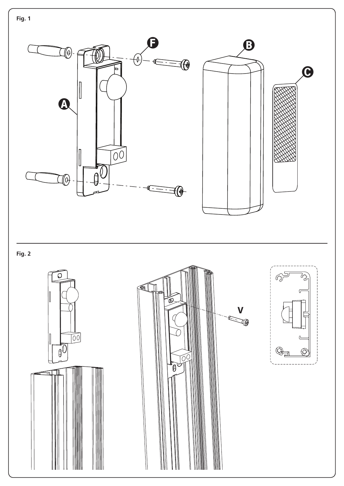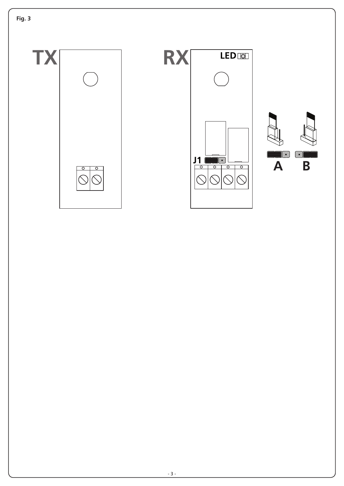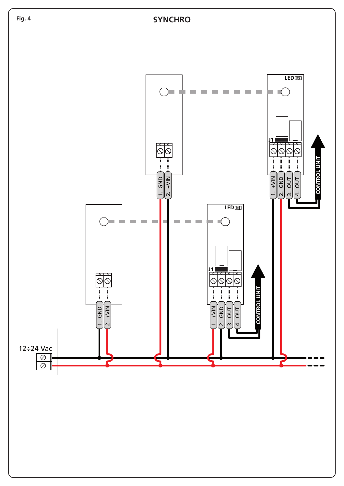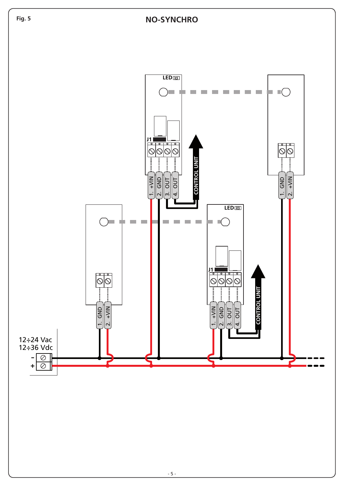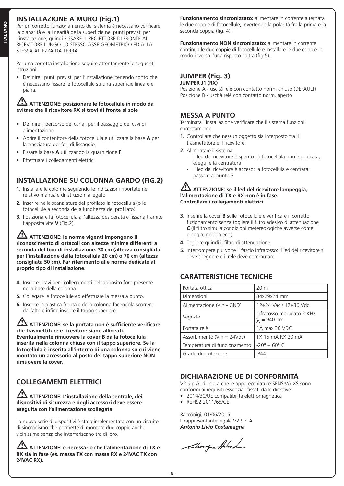#### **INSTALLAZIONE A MURO (Fig.1)**

Per un corretto funzionamento del sistema è necessario verificare la planarità e la linearità della superficie nei punti previsti per l'installazione, quindi FISSARE IL PROIETTORE DI FRONTE AL RICEVITORE LUNGO LO STESSO ASSE GEOMETRICO ED ALLA STESSA ALTEZZA DA TERRA.

Per una corretta installazione seguire attentamente le seguenti istruzioni:

• Definire i punti previsti per l'installazione, tenendo conto che è necessario fissare le fotocellule su una superficie lineare e piana.

#### m**ATTENZIONE: posizionare le fotocellule in modo da evitare che il ricevitore RX si trovi di fronte al sole**

- Definire il percorso dei canali per il passaggio dei cavi di alimentazione
- Aprire il contenitore della fotocellula e utilizzare la base **A** per la tracciatura dei fori di fissaggio
- Fissare la base **A** utilizzando la guarnizione **F**
- Effettuare i collegamenti elettrici

# **INSTALLAZIONE SU COLONNA GARDO (FIG.2)**

- **1.** Installare le colonne seguendo le indicazioni riportate nel relativo manuale di istruzioni allegato.
- **2.** Inserire nelle scanalature del profilato la fotocellula (o le fotocellule a seconda della lunghezza del profilato).
- **3.** Posizionare la fotocellula all'altezza desiderata e fissarla tramite l'apposita vite **V** (Fig.2).

m**ATTENZIONE: le norme vigenti impongono il riconoscimento di ostacoli con altezze minime differenti a seconda del tipo di installazione: 30 cm (altezza consigliata per l'installazione della fotocellula 20 cm) o 70 cm (altezza consigliata 50 cm). Far riferimento alle norme dedicate al proprio tipo di installazione.**

- **4.** Inserire i cavi per i collegamenti nell'apposito foro presente nella base della colonna.
- **5.** Collegare le fotocellule ed effettuare la messa a punto.
- **6.** Inserire la plastica frontale della colonna facendola scorrere dall'alto e infine inserire il tappo superiore.

**ATTENZIONE: se la portata non è sufficiente verificare che trasmettitore e ricevitore siano allineati. Eventualmente rimuovere la cover B dalla fotocellula inserita nella colonna chiusa con il tappo superiore. Se la fotocellula è inserita all'interno di una colonna su cui viene montato un accessorio al posto del tappo superiore NON rimuovere la cover.**

# **COLLEGAMENTI ELETTRICI**

m**ATTENZIONE: L'installazione della centrale, dei dispositivi di sicurezza e degli accessori deve essere eseguita con l'alimentazione scollegata**

La nuova serie di dispositivi è stata implementata con un circuito di sincronismo che permette di montare due coppie anche vicinissime senza che interferiscano tra di loro.

m**ATTENZIONE: è necessario che l'alimentazione di TX e RX sia in fase (es. massa TX con massa RX e 24VAC TX con 24VAC RX).** 

**Funzionamento sincronizzato:** alimentare in corrente alternata le due coppie di fotocellule, invertendo la polarità fra la prima e la seconda coppia (fig. 4).

**Funzionamento NON sincronizzato:** alimentare in corrente continua le due coppie di fotocellule e installare le due coppie in modo inverso l'una rispetto l'altra (fig.5).

#### **JUMPER (Fig. 3) JUMPER J1 (RX)**

Posizione A - uscità relè con contatto norm. chiuso (DEFAULT) Posizione B - uscità relè con contatto norm. aperto

#### **MESSA A PUNTO**

Terminata l'installazione verificare che il sistema funzioni correttamente:

- **1.** Controllare che nessun oggetto sia interposto tra il trasmettitore e il ricevitore.
- **2.** Alimentare il sistema:
	- Il led del ricevitore è spento: la fotocellula non è centrata, eseguire la centratura
	- Il led del ricevitore è acceso: la fotocellula è centrata, passare al punto 3

#### m**ATTENZIONE: se il led del ricevitore lampeggia, l'alimentazione di TX e RX non è in fase. Controllare i collegamenti elettrici.**

- **3.** Inserire la cover **B** sulle fotocellule e verificare il corretto fuzionamento senza togliere il filtro adesivo di attenuazione **C** (il filtro simula condizioni metereologiche avverse come pioggia, nebbia ecc.)
- **4.** Togliere quindi il filtro di attenuazione.
- **5.** Interrompere più volte il fascio infrarosso: il led del ricevitore si deve spegnere e il relè deve commutare.

# **CARATTERISTICHE TECNICHE**

| Portata ottica               | 20 <sub>m</sub>                                 |
|------------------------------|-------------------------------------------------|
| Dimensioni                   | 84x29x24 mm                                     |
| Alimentazione (Vin - GND)    | 12÷24 Vac / 12÷36 Vdc                           |
| Segnale                      | infrarosso modulato 2 KHz<br>$\lambda$ = 940 nm |
| Portata relè                 | 1A max 30 VDC                                   |
| Assorbimento (Vin = 24Vdc)   | TX 15 mA RX 20 mA                               |
| Temperatura di funzionamento | $-20^{\circ} + 60^{\circ}$ C                    |
| Grado di protezione          | <b>IP44</b>                                     |

# **DICHIARAZIONE UE DI CONFORMITÀ**

V2 S.p.A. dichiara che le apparecchiature SENSIVA-XS sono conformi ai requisiti essenziali fissati dalle direttive:

- 2014/30/UE compatibilità elettromagnetica
- RoHS2 2011/65/CF

Racconigi, 01/06/2015 Il rappresentante legale V2 S.p.A. *Antonio Livio Costamagna*

Clematre Alman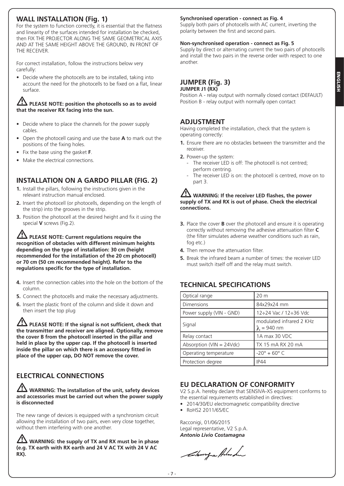### **WALL INSTALLATION (Fig. 1)**

For the system to function correctly, it is essential that the flatness and linearity of the surfaces intended for installation be checked, then FIX THE PROJECTOR ALONG THE SAME GEOMETRICAL AXIS AND AT THE SAME HEIGHT ABOVE THE GROUND, IN FRONT OF THE RECEIVER.

For correct installation, follow the instructions below very carefully:

• Decide where the photocells are to be installed, taking into account the need for the photocells to be fixed on a flat, linear surface.

#### **PLEASE NOTE: position the photocells so as to avoid that the receiver RX facing into the sun.**

- Decide where to place the channels for the power supply cables.
- Open the photocell casing and use the base **A** to mark out the positions of the fixing holes.
- Fix the base using the gasket **F**.
- Make the electrical connections.

#### **INSTALLATION ON A GARDO PILLAR (FIG. 2)**

- **1.** Install the pillars, following the instructions given in the relevant instruction manual enclosed.
- **2.** Insert the photocell (or photocells, depending on the length of the strip) into the grooves in the strip.
- **3.** Position the photocell at the desired height and fix it using the special **V** screws (Fig.2).

**PLEASE NOTE: Current regulations require the recognition of obstacles with different minimum heights depending on the type of installation: 30 cm (height recommended for the installation of the 20 cm photocell) or 70 cm (50 cm recommended height). Refer to the regulations specific for the type of installation.**

- **4.** Insert the connection cables into the hole on the bottom of the column.
- **5.** Connect the photocells and make the necessary adjustments.
- **6.** Insert the plastic front of the column and slide it down and then insert the top plug

**PLEASE NOTE: If the signal is not sufficient, check that the transmitter and receiver are aligned. Optionally, remove the cover B from the photocell inserted in the pillar and held in place by the upper cap. If the photocell is inserted inside the pillar on which there is an accessory fitted in place of the upper cap, DO NOT remove the cover.**

# **ELECTRICAL CONNECTIONS**

**WARNING: The installation of the unit, safety devices and accessories must be carried out when the power supply is disconnected** 

The new range of devices is equipped with a synchronism circuit allowing the installation of two pairs, even very close together, without them interfering with one another.

**WARNING: the supply of TX and RX must be in phase (e.g. TX earth with RX earth and 24 V AC TX with 24 V AC RX).** 

#### **Synchronised operation - connect as Fig. 4**

Supply both pairs of photocells with AC current, inverting the polarity between the first and second pairs.

#### **Non-synchronised operation - connect as Fig. 5**

Supply by direct or alternating current the two pairs of photocells and install the two pairs in the reverse order with respect to one another.

# **JUMPER (Fig. 3)**

#### **JUMPER J1 (RX)**

Position A - relay output with normally closed contact (DEFAULT) Position B - relay output with normally open contact

#### **ADJUSTMENT**

Having completed the installation, check that the system is operating correctly:

- **1.** Ensure there are no obstacles between the transmitter and the receiver.
- **2.** Power-up the system:
	- The receiver LED is off: The photocell is not centred; perform centring.
	- The receiver LED is on: the photocell is centred, move on to part 3.

#### **WARNING: If the receiver LED flashes, the power supply of TX and RX is out of phase. Check the electrical connections.**

- **3.** Place the cover **B** over the photocell and ensure it is operating correctly without removing the adhesive attenuation filter **C** (the filter simulates adverse weather conditions such as rain, fog etc.)
- **4.** Then remove the attenuation filter.
- **5.** Break the infrared beam a number of times: the receiver LED must switch itself off and the relay must switch.

## **TECHNICAL SPECIFICATIONS**

| Optical range               | 20 <sub>m</sub>                                |
|-----------------------------|------------------------------------------------|
| Dimensions                  | 84x29x24 mm                                    |
| Power supply (VIN - GND)    | 12÷24 Vac / 12÷36 Vdc                          |
| Signal                      | modulated infrared 2 KHz<br>$\lambda$ = 940 nm |
| Relay contact               | 1A max 30 VDC                                  |
| Absorption (VIN = $24Vdc$ ) | TX 15 mA RX 20 mA                              |
| Operating temperature       | $-20^{\circ} + 60^{\circ}$ C                   |
| Protection degree           | <b>IP44</b>                                    |

#### **EU DECLARATION OF CONFORMITY**

V2 S.p.A. hereby declare that SENSIVA-XS equipment conforms to the essential requirements established in directives:

- 2014/30/EU electromagnetic compatibility directive
- RoHS2 2011/65/EC

Racconigi, 01/06/2015 Legal representative, V2 S.p.A. *Antonio Livio Costamagna*

Chanope Alordu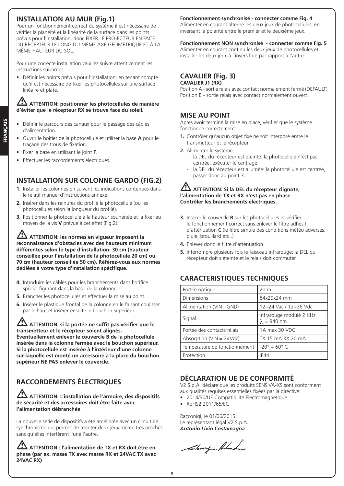# **INSTALLATION AU MUR (Fig.1)**

Pour un fonctionnement correct du système il est nécessaire de vérifier la planéité et la linéarité de la surface dans les points prévus pour l'installation, donc FIXER LE PROJECTEUR EN FACE DU RÉCEPTEUR LE LONG DU MÊME AXE GÉOMÉTRIQUE ET À LA MÊME HAUTEUR DU SOL.

Pour une correcte installation veuillez suivre attentivement les instructions suivantes:

• Définir les points prévus pour l'installation, en tenant compte qu'il est nécessaire de fixer les photocellules sur une surface linéaire et plate.

#### **ATTENTION: positionner les photocellules de manière d'éviter que le récepteur RX se trouve face du soleil.**

- Définir le parcours des canaux pour le passage des câbles d'alimentation.
- Ouvrir le boîtier de la photocellule et utiliser la base **A** pour le traçage des trous de fixation.
- Fixer la base en utilisant le joint **F**.
- Effectuer les raccordements électriques.

# **INSTALLATION SUR COLONNE GARDO (FIG.2)**

- **1.** Installer les colonnes en suivant les indications contenues dans le relatif manuel d'instructions annexé.
- **2.** Insérer dans les rainures du profilé la photocellule (ou les photocellules selon la longueur du profilé).
- **3.** Positionner la photocellule à la hauteur souhaitée et la fixer au moyen de la vis **V** prévue à cet effet (Fig.2).

ATTENTION: les normes en vigueur imposent la **reconnaissance d'obstacles avec des hauteurs minimum différentes selon le type d'installation: 30 cm (hauteur conseillée pour l'installation de la photocellule 20 cm) ou 70 cm (hauteur conseillée 50 cm). Référez-vous aux normes dédiées à votre type d'installation spécifique.**

- **4.** Introduire les câbles pour les branchements dans l'orifice spécial figurant dans la base de la colonne.
- **5.** Brancher les photocellules et effectuer la mise au point.
- **6.** Insérer le plastique frontal de la colonne en le faisant coulisser par le haut et insérer ensuite le bouchon supérieur.

**ATTENTION: si la portée ne suffit pas vérifier que le transmetteur et le récepteur soient alignés. Éventuellement enlever le couvercle B de la photocellule insérée dans la colonne fermée avec le bouchon supérieur. Si la photocellule est insérée à l'intérieur d'une colonne sur laquelle est monté un accessoire à la place du bouchon supérieur NE PAS enlever le couvercle.**

# **RACCORDEMENTS ÉLECTRIQUES**

m**ATTENTION: L'installation de l'armoire, des dispositifs de sécurité et des accessoires doit être faite avec l'alimentation débranchée** 

La nouvelle série de dispositifs a été améliorée avec un circuit de synchronisme qui permet de monter deux jeux même très proches sans qu'elles interfèrent l'une l'autre.

**ATTENTION : l'alimentation de TX et RX doit être en phase (par ex. masse TX avec masse RX et 24VAC TX avec 24VAC RX)** 

#### **Fonctionnement synchronisé - connecter comme Fig. 4**

Alimenter en courant alterné les deux jeux de photocellules, en inversant la polarité entre le premier et le deuxième jeux.

**Fonctionnement NON synchronisé - connecter comme Fig. 5**

Alimenter en courant continu les deux jeux de photocellules et installer les deux jeux à l'invers l'un par rapport à l'autre.

#### **CAVALIER (Fig. 3) CAVALIER J1 (RX)**

Position A - sortie relais avec contact normalement fermé (DEFAULT) Position B - sortie relais avec contact normalement ouvert

#### **MISE AU POINT**

Après avoir terminé la mise en place, vérifier que le système fonctionne correctement:

- **1.** Contrôler qu'aucun objet fixe ne soit interposé entre le transmetteur et le récepteur.
- **2.** Alimenter le système:
	- la DEL du récepteur est éteinte: la photocellule n'est pas centrée, exécuter le centrage
	- la DEL du récepteur est allumée: la photocellule est centrée, passer donc au point 3.

#### m **ATTENTION: Si la DEL du récepteur clignote, l'alimentation de TX et RX n'est pas en phase. Contrôler les branchements électriques.**

- **3.** Insérer le couvercle **B** sur les photocellules et vérifier le fonctionnement correct sans enlever le filtre adhésif d'atténuation **C** (le filtre simule des conditions météo adverses: pluie, brouillard etc..)
- **4.** Enlever donc le filtre d'atténuation.
- **5.** Interrompre plusieurs fois le faisceau infrarouge: la DEL du récepteur doit s'éteinte et le relais doit commuter.

# **CARACTERISTIQUES TECHNIQUES**

| Portée optique                | 20 m                                          |
|-------------------------------|-----------------------------------------------|
| <b>Dimensions</b>             | 84x29x24 mm                                   |
| Alimentation (VIN - GND)      | 12÷24 Vac / 12÷36 Vdc                         |
| Signal                        | infrarouge modulé 2 KHz<br>$\lambda$ = 940 nm |
| Portée des contacts rélais    | 1A max 30 VDC                                 |
| Absorption ( $VIN = 24Vdc$ )  | TX 15 mA RX 20 mA                             |
| Temperature de fonctionnement | $-20^{\circ} + 60^{\circ}$ C                  |
| Protection                    | <b>IP44</b>                                   |

# **DÉCLARATION UE DE CONFORMITÉ**

V2 S.p.A. déclare que les produits SENSIVA-XS sont conforment aux qualités requises essentielles fixées par la directive:

- 2014/30/UE Compatibilité Électromagnétique
- RoHS2 2011/65/EC

Racconigi, le 01/06/2015 Le représentant légal V2 S.p.A. *Antonio Livio Costamagna*

Clamatic Alman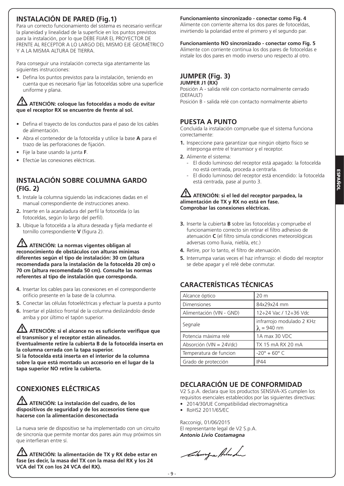# **INSTALACIÓN DE PARED (Fig.1)**

Para un correcto funcionamiento del sistema es necesario verificar la planeidad y linealidad de la superficie en los puntos previstos para la instalación, por lo que DEBE FIJAR EL PROYECTOR DE FRENTE AL RECEPTOR A LO LARGO DEL MISMO EJE GEOMÉTRICO Y A LA MISMA ALTURA DE TIERRA.

Para conseguir una instalación correcta siga atentamente las siguientes instrucciones:

• Defina los puntos previstos para la instalación, teniendo en cuenta que es necesario fijar las fotoceldas sobre una superficie uniforme y plana.

#### ATENCIÓN: coloque las fotoceldas a modo de evitar **que el receptor RX se encuentre de frente al sol.**

- Defina el trayecto de los conductos para el paso de los cables de alimentación.
- Abra el contenedor de la fotocelda y utilice la base **A** para el trazo de las perforaciones de fijación.
- Fije la base usando la junta **F**.
- Efectúe las conexiones eléctricas.

## **INSTALACIÓN SOBRE COLUMNA GARDO (FIG. 2)**

- **1.** Instale la columna siguiendo las indicaciones dadas en el manual correspondiente de instrucciones anexo.
- **2.** Inserte en la acanaladura del perfil la fotocelda (o las fotoceldas, según lo largo del perfil).
- **3.** Ubique la fotocelda a la altura deseada y fíjela mediante el tornillo correspondiente **V** (figura 2).

**ATENCIÓN: La normas vigentes obligan al reconocimiento de obstáculos con alturas mínimas diferentes según el tipo de instalación: 30 cm (altura recomendada para la instalación de la fotocelda 20 cm) o 70 cm (altura recomendada 50 cm). Consulte las normas referentes al tipo de instalación que corresponda.**

- **4.** Insertar los cables para las conexiones en el correspondiente orificio presente en la base de la columna.
- **5.** Conectar las células fotoeléctricas y efectuar la puesta a punto
- **6.** Insertar el plástico frontal de la columna deslizándolo desde arriba y por último el tapón superior.

m**ATENCIÓN: si el alcance no es suficiente verifique que el transmisor y el receptor están alineados. Eventualmente retire la cubierta B de la fotocelda inserta en la columna cerrada con la tapa superior. Si la fotocelda está inserta en el interior de la columna sobre la que está montado un accesorio en el lugar de la** 

**tapa superior NO retire la cubierta.**

# **CONEXIONES ELÉCTRICAS**

#### m**ATENCIÓN: La instalación del cuadro, de los dispositivos de seguridad y de los accesorios tiene que hacerse con la alimentación desconectada**

La nueva serie de dispositivo se ha implementado con un circuito de sincronía que permite montar dos pares aún muy próximos sin que interfieran entre sí.

ATENCIÓN: la alimentación de TX y RX debe estar en **fase (es decir, la masa del TX con la masa del RX y los 24 VCA del TX con los 24 VCA del RX).** 

# **Funcionamiento sincronizado - conectar como Fig. 4**

Alimente con corriente alterna los dos pares de fotoceldas, invirtiendo la polaridad entre el primero y el segundo par.

# **Funcionamiento NO sincronizado - conectar como Fig. 5**

Alimente con corriente continua los dos pares de fotoceldas e instale los dos pares en modo inverso uno respecto al otro.

#### **JUMPER (Fig. 3) JUMPER J1 (RX)**

Posición A - salida relé con contacto normalmente cerrado (DEFAULT)

Posición B - salida relé con contacto normalmente abierto

# **PUESTA A PUNTO**

Concluida la instalación compruebe que el sistema funciona correctamente:

- **1.** Inspeccione para garantizar que ningún objeto físico se interponga entre el transmisor y el receptor.
- **2.** Alimente el sistema:
	- El diodo luminoso del receptor está apagado: la fotocelda no está centrada, proceda a centrarla.
	- El diodo luminoso del receptor está encendido: la fotocelda está centrada, pase al punto 3.

#### **ATENCIÓN: si el led del receptor parpadea, la alimentación de TX y RX no está en fase. Comprobar las conexiones eléctricas.**

- **3.** Inserte la cubierta **B** sobre las fotoceldas y compruebe el funcionamiento correcto sin retirar el filtro adhesivo de atenuación **C** (el filtro simula condiciones meteorológicas adversas como lluvia, niebla, etc.)
- **4.** Retire, por lo tanto, el filtro de atenuación.
- **5.** Interrumpa varias veces el haz infrarrojo: el diodo del receptor se debe apagar y el relé debe conmutar.

# **CARACTERÍSTICAS TÉCNICAS**

| Alcance óptico             | 20 m                                            |
|----------------------------|-------------------------------------------------|
| <b>Dimensiones</b>         | 84x29x24 mm                                     |
| Alimentación (VIN - GND)   | 12÷24 Vac / 12÷36 Vdc                           |
| Segnale                    | infrarrojo modulado 2 KHz<br>$\lambda$ = 940 nm |
| Potencia máxima relé       | 1A max 30 VDC                                   |
| Absorción (VIN = $24Vdc$ ) | TX 15 mA RX 20 mA                               |
| Temperatura de funcion     | $-20^{\circ} + 60^{\circ}$ C                    |
| Grado de protección        | <b>IP44</b>                                     |

# **DECLARACIÓN UE DE CONFORMIDAD**

V2 S.p.A. declara que los productos SENSIVA-XS cumplen los requisitos esenciales establecidos por las siguientes directivas:

- 2014/30/UE Compatibilidad electromagnética
- RoHS2 2011/65/EC

Racconigi, 01/06/2015 El representante legal de V2 S.p.A. *Antonio Livio Costamagna*

Chanope Alordu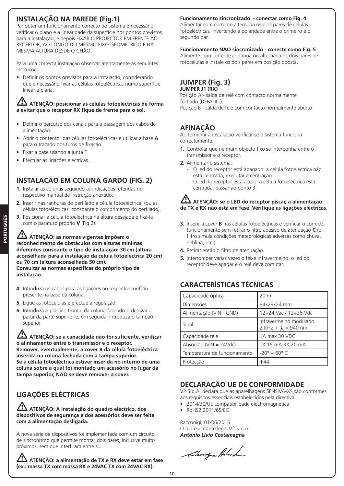# **INSTALAÇÃO NA PAREDE (Fig.1)**

Par obter um funcionamento correcto do sistema é necessário verificar o plano e a linearidade da superfície nos pontos previstos para a instalação, e depois FIXAR O PROJECTOR EM FRENTE AO RECEPTOR, AO LONGO DO MESMO EIXO GEOMÉTRICO E NA MESMA ALTURA DESDE O CHÃO.

Para uma correcta instalação observar atentamente as seguintes instruções:

• Definir os pontos previstos para a instalação, considerando que é necessário fixar as células fotoeléctricas numa superfície linear e plana.

#### m**ATENÇÃO: posicionar as células fotoeléctricas de forma a evitar que o receptor RX fique de frente para o sol.**

- Definir o percurso dos canais para a passagem dos cabos de alimentação.
- Abrir o contentor das células fotoeléctricas e utilizar a base **A** para o traçado dos furos de fixação.
- Fixar a base usando a junta F.
- Efectuar as ligações eléctricas.

# **INSTALAÇÃO EM COLUNA GARDO (FIG. 2)**

- **1.** Instalar as colunas seguindo as indicações referidas no respectivo manual de instrução anexado.
- **2.** Inserir nas ranhuras do perfilado a célula fotoeléctrica, (ou as células fotoeléctricas, consoante o comprimento do perfilado).
- **3.** Posicionar a célula fotoeléctrica na altura desejada e fixá-la com o parafuso próprio **V** (Fig.2).

m**ATENÇÃO: as normas vigentes impõem o reconhecimento de obstáculos com alturas mínimas diferentes consoante o tipo de instalação: 30 cm (altura aconselhada para a instalação da célula fotoeléctrica 20 cm) ou 70 cm (altura aconselhada 50 cm). Consultar as normas específicas do próprio tipo de instalação.**

- **4.** Introduza os cabos para as ligações no respectivo orifício presente na base da coluna.
- **5.** Ligue as fotocélulas e efectue a regulação.
- **6.** Introduza o plástico frontal da coluna fazendo-o deslizar a partir da parte superior e, em seguida, introduza o tampão superior.

m**ATENÇÃO: se a capacidade não for suficiente, verificar o alinhamento entre o transmissor e o receptor. Remover, eventualmente, a cover B da célula fotoeléctrica inserida na coluna fechada com a tampa superior. Se a célula fotoeléctrica estiver inserida no interno de uma coluna sobre a qual foi montado um acessório no lugar da tampa superior, NÃO se deve remover a cover.**

# **LIGAÇÕES ELÉCTRICAS**

m**ATENÇÃO: A instalação do quadro eléctrico, dos dispositivos de segurança e dos acessórios deve ser feita com a alimentação desligada.**

A nova série de dispositivos foi implementada com um circuito de sincronismo que permite montar dois pares, inclusive muito próximos, sem que interfiram entre si.

m**ATENÇÃO: a alimentação de TX e RX deve estar em fase (ex.: massa TX com massa RX e 24VAC TX com 24VAC RX).** 

#### **Funcionamento sincronizado - conectar como Fig. 4**

Alimentar com corrente alternada os dois pares de células fotoeléctricas, invertendo a polaridade entre o primeiro e o segundo par.

#### **Funcionamento NÃO sincronizado - conecte como Fig. 5**

Alimente com corrente contínua ou alternada os dois pares de fotocélulas e instale os dois pares em posição oposta.

#### **JUMPER (Fig. 3) JUMPER J1 (RX)**

Posição A - saída de relé com contacto normalmente fechado (DEFAULT) Posição B - saída de relé com contacto normalmente aberto

# **AFINAÇÃO**

Ao terminar a instalação verificar se o sistema funciona correctamente:

- **1.** Controlar que nenhum objecto fixo se interponha entre o transmissor e o receptor.
- **2.** Alimentar o sistema:
	- O led do receptor está apagado: a célula fotoeléctrica não está centrada, executar a centração.
	- O led do receptor está aceso: a célula fotoeléctrica está centrada, passar ao ponto 3.

#### m**ATENÇÃO: se o LED do receptor piscar, a alimentação de TX e RX não está em fase. Verifique as ligações eléctricas.**

- **3.** Inserir a cover **B** nas células fotoeléctricas e verificar o correcto funcionamento sem retirar o filtro adesivo de atenuação **C** (o filtro simula condições meteorológicas adversas como chuva, neblina, etc.)
- **4.** Retirar então o filtro de atenuação.
- **5.** Interromper várias vezes o feixe infravermelho: o led do receptor deve apagar e o relé deve comutar.

# **CARACTERÍSTICAS TÉCNICAS**

| Capacidade óptica            | 20 <sub>m</sub>                                      |
|------------------------------|------------------------------------------------------|
| <b>Dimensões</b>             | 84x29x24 mm                                          |
| Alimentação (VIN - GND)      | 12÷24 Vac / 12÷36 Vdc                                |
| Sinal                        | infravermelho modulado<br>2 KHz / $\lambda$ = 940 nm |
| Capacidade relé              | 1A max 30 VDC                                        |
| Absorção (VIN = 24Vdc)       | TX 15 mA RX 20 mA                                    |
| Temperatura de funcionamento | $-20^{\circ} + 60^{\circ}$ C                         |
| Protecção                    | <b>IP44</b>                                          |

#### **DECLARAÇÃO UE DE CONFORMIDADE**

V2 S.p.A. declara que as aparelhagens SENSIVA-XS são conformes aos requisitos essenciais estabelecidos pela directiva:

- 2014/30/UE compatibilidade electromagnética
- RoHS2 2011/65/EC

Racconigi, 01/06/2015 O representante legal V2 S.p.A. *Antonio Livio Costamagna*

Clemagne Alexander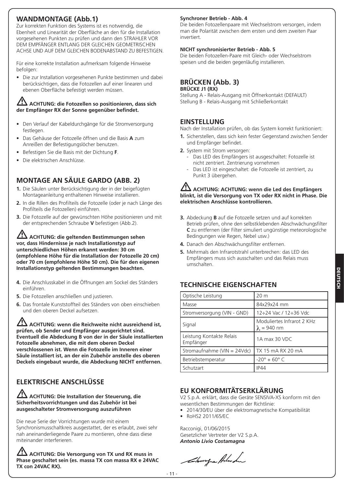### **WANDMONTAGE (Abb.1)**

Zur korrekten Funktion des Systems ist es notwendig, die Ebenheit und Linearität der Oberfläche an den für die Installation vorgesehenen Punkten zu prüfen und dann den STRAHLER VOR DEM EMPFÄNGER ENTLANG DER GLEICHEN GEOMETRISCHEN ACHSE UND AUF DEM GLEICHEN BODENABSTAND ZU BEFESTIGEN.

Für eine korrekte Installation aufmerksam folgende Hinweise befolgen:

• Die zur Installation vorgesehenen Punkte bestimmen und dabei berücksichtigen, dass die Fotozellen auf einer linearen und ebenen Oberfläche befestigt werden müssen.

#### ACHTUNG: die Fotozellen so positionieren, dass sich **der Empfänger RX der Sonne gegenüber befindet.**

- Den Verlauf der Kabeldurchgänge für die Stromversorgung festlegen.
- Das Gehäuse der Fotozelle öffnen und die Basis **A** zum Anreißen der Befestigungslöcher benutzen.
- Befestigen Sie die Basis mit der Dichtung **F**.
- Die elektrischen Anschlüsse.

# **MONTAGE AN SÄULE GARDO (ABB. 2)**

- **1.** Die Säulen unter Berücksichtigung der in der beigefügten Montageanleitung enthaltenen Hinweise installieren.
- **2.** In die Rillen des Profilteils die Fotozelle (oder je nach Länge des Profilteils die Fotozellen) einführen.
- **3.** Die Fotozelle auf der gewünschten Höhe positionieren und mit der entsprechenden Schraube **V** befestigen (Abb.2).

m**ACHTUNG: die geltenden Bestimmungen sehen vor, dass Hindernisse je nach Installationstyp auf unterschiedlichen Höhen erkannt werden: 30 cm (empfohlene Höhe für die Installation der Fotozelle 20 cm) oder 70 cm (empfohlene Höhe 50 cm). Die für den eigenen Installationstyp geltenden Bestimmungen beachten.**

- **4.** Die Anschlusskabel in die Öffnungen am Sockel des Ständers einführen.
- **5.** Die Fotozellen anschließen und justieren.
- **6.** Das frontale Kunststoffteil des Ständers von oben einschieben und den oberen Deckel aufsetzen.

**ACHTUNG: wenn die Reichweite nicht ausreichend ist, prüfen, ob Sender und Empfänger ausgerichtet sind. Eventuell die Abdeckung B von der in der Säule installierten Fotozelle abnehmen, die mit dem oberen Deckel verschlossenen ist. Wenn die Fotozelle im Inneren einer Säule installiert ist, an der ein Zubehör anstelle des oberen Deckels eingebaut wurde, die Abdeckung NICHT entfernen.**

# **ELEKTRISCHE ANSCHLÜSSE**

m**ACHTUNG: Die Installation der Steuerung, die Sicherheitsvorrichtungen und das Zubehör ist bei ausgeschalteter Stromversorgung auszuführen** 

Die neue Serie der Vorrichtungen wurde mit einem Synchronismusschaltkreis ausgestattet, der es erlaubt, zwei sehr nah aneinanderliegende Paare zu montieren, ohne dass diese miteinander interferieren.

**ACHTUNG: Die Versorgung von TX und RX muss in Phase geschaltet sein (es. massa TX con massa RX e 24VAC TX con 24VAC RX).** 

#### **Synchroner Betrieb - Abb. 4**

Die beiden Fotozellenpaare mit Wechselstrom versorgen, indem man die Polarität zwischen dem ersten und dem zweiten Paar invertiert.

#### **NICHT synchronisierter Betrieb - Abb. 5**

Die beiden Fotozellen-Paare mit Gleich- oder Wechselstrom speisen und die beiden gegenläufig installieren.

#### **BRÜCKEN (Abb. 3) BRÜCKE J1 (RX)**

Stellung A - Relais-Ausgang mit Öffnerkontakt (DEFAULT) Stellung B - Relais-Ausgang mit Schließerkontakt

#### **EINSTELLUNG**

Nach der Installation prüfen, ob das System korrekt funktioniert:

- **1.** Sicherstellen, dass sich kein fester Gegenstand zwischen Sender und Empfänger befindet.
- **2.** System mit Strom versorgen:
	- Das LED des Empfängers ist ausgeschaltet: Fotozelle ist nicht zentriert. Zentrierung vornehmen
	- Das LED ist eingeschaltet: die Fotozelle ist zentriert, zu Punkt 3 übergehen.

#### **ACHTUNG: ACHTUNG: wenn die Led des Empfängers blinkt, ist die Versorgung von TX oder RX nicht in Phase. Die elektrischen Anschlüsse kontrollieren.**

- **3.** Abdeckung **B** auf die Fotozelle setzen und auf korrekten Betrieb prüfen, ohne den selbstklebenden Abschwächungsfilter **C** zu entfernen (der Filter simuliert ungünstige meteorologische Bedingungen wie Regen, Nebel usw.)
- **4.** Danach den Abschwächungsfilter entfernen.
- **5.** Mehrmals den Infrarotstrahl unterbrechen: das LED des Empfängers muss sich ausschalten und das Relais muss umschalten.

## **TECHNISCHE EIGENSCHAFTEN**

| Optische Leistung                     | 20 <sub>m</sub>                                  |
|---------------------------------------|--------------------------------------------------|
| Masse                                 | 84x29x24 mm                                      |
| Stromversorgung (VIN - GND)           | 12÷24 Vac / 12÷36 Vdc                            |
| Signal                                | Moduliertes Infrarot 2 KHz<br>$\lambda = 940$ nm |
| Leistung Kontakte Relais<br>Empfänger | 1A max 30 VDC                                    |
| Stromaufnahme ( $VIN = 24Vdc$ )       | TX 15 mA RX 20 mA                                |
| Betriebstemperatur                    | $-20^{\circ} + 60^{\circ}$ C                     |
| Schutzart                             | <b>IP44</b>                                      |

## **EU KONFORMITÄTSERKLÄRUNG**

V2 S.p.A. erklärt, dass die Geräte SENSIVA-XS konform mit den wesentlichen Bestimmungen der Richtlinie:

- 2014/30/EU über die elektromagnetische Kompatibilität
- RoHS2 2011/65/EC

Racconigi, 01/06/2015 Gesetzlicher Vertreter der V2 S.p.A. *Antonio Livio Costamagna*

Chanopia Aleman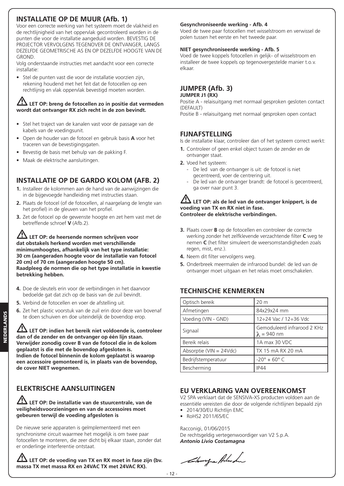# **INSTALLATIE OP DE MUUR (Afb. 1)**

Voor een correcte werking van het systeem moet de vlakheid en de rechtlijnigheid van het oppervlak gecontroleerd worden in de punten die voor de installatie aangeduid worden. BEVESTIG DE PROJECTOR VERVOLGENS TEGENOVER DE ONTVANGER, LANGS DEZELFDE GEOMETRISCHE AS EN OP DEZELFDE HOOGTE VAN DE GROND.

Volg onderstaande instructies met aandacht voor een correcte installatie:

• Stel de punten vast die voor de installatie voorzien zijn, rekening houdend met het feit dat de fotocellen op een rechtlijnig en vlak oppervlak bevestigd moeten worden.

#### **LET OP: breng de fotocellen zo in positie dat vermeden wordt dat ontvanger RX zich recht in de zon bevindt.**

- Stel het traject van de kanalen vast voor de passage van de kabels van de voedingsunit.
- Open de houder van de fotocel en gebruik basis **A** voor het traceren van de bevestigingsgaten.
- Bevestig de basis met behulp van de pakking F.
- Maak de elektrische aansluitingen.

## **INSTALLATIE OP DE GARDO KOLOM (AFB. 2)**

- **1.** Installeer de kolommen aan de hand van de aanwijzingen die in de bijgevoegde handleiding met instructies staan.
- **2.** Plaats de fotocel (of de fotocellen, al naargelang de lengte van het profiel) in de gleuven van het profiel.
- **3.** Zet de fotocel op de gewenste hoogte en zet hem vast met de betreffende schroef **V** (Afb.2).

m**LET OP: de heersende normen schrijven voor dat obstakels herkend worden met verschillende minimumhoogtes, afhankelijk van het type installatie: 30 cm (aangeraden hoogte voor de installatie van fotocel 20 cm) of 70 cm (aangeraden hoogte 50 cm). Raadpleeg de normen die op het type installatie in kwestie betrekking hebben.**

- **4.** Doe de sleutels erin voor de verbindingen in het daarvoor bedoelde gat dat zich op de basis van de zuil bevindt.
- **5.** Verbind de fotocellen en voer de afstelling uit.
- **6.** Zet het plastic voorstuk van de zuil erin door deze van bovenaf te doen schuiven en doe uiteindelijk de bovendop erop.

**LET OP: indien het bereik niet voldoende is, controleer dan of de zender en de ontvanger op één lijn staan. Verwijder zonodig cover B van de fotocel die in de kolom geplaatst is die met de bovendop afgesloten is. Indien de fotocel binnenin de kolom geplaatst is waarop een accessoire gemonteerd is, in plaats van de bovendop, de cover NIET wegnemen.**

# **ELEKTRISCHE AANSLUITINGEN**

**LET OP: De installatie van de stuurcentrale, van de veiligheidsvoorzieningen en van de accessoires moet gebeuren terwijl de voeding afgesloten is**

De nieuwe serie apparaten is geïmplementeerd met een synchronisme circuit waarmee het mogelijk is om twee paar fotocellen te monteren, die zeer dicht bij elkaar staan, zonder dat er onderlinge interferentie ontstaat.

**LET OP: de voeding van TX en RX moet in fase zijn (bv. massa TX met massa RX en 24VAC TX met 24VAC RX).**

#### **Gesynchroniseerde werking - Afb. 4**

Voed de twee paar fotocellen met wisselstroom en verwissel de polen tussen het eerste en het tweede paar.

#### **NIET gesynchroniseerde werking - Afb. 5**

Voed de twee koppels fotocellen in gelijk- of wisselstroom en installeer de twee koppels op tegenovergestelde manier t.o.v. elkaar.

# **JUMPER (Afb. 3)**

#### **JUMPER J1 (RX)**

Positie A - relaisuitgang met normaal gesproken gesloten contact (DEFAULT)

Positie B - relaisuitgang met normaal gesproken open contact

#### **FIJNAFSTELLING**

Is de installatie klaar, controleer dan of het systeem correct werkt:

- **1.** Controleer of geen enkel object tussen de zender en de ontvanger staat.
- **2.** Voed het systeem:
	- De led van de ontvanger is uit: de fotocel is niet gecentreerd, voer de centrering uit.
	- De led van de ontvanger brandt: de fotocel is gecentreerd, ga over naar punt 3.

#### m**LET OP: als de led van de ontvanger knippert, is de voeding van TX en RX niet in fase. Controleer de elektrische verbindingen.**

- **3.** Plaats cover **B** op de fotocellen en controleer de correcte werking zonder het zelfklevende verzachtende filter **C** weg te nemen **C** (het filter simuleert de weersomstandigheden zoals regen, mist, enz.).
- **4.** Neem dit filter vervolgens weg.
- **5.** Onderbreek meermalen de infrarood bundel: de led van de ontvanger moet uitgaan en het relais moet omschakelen.

## **TECHNISCHE KENMERKEN**

| Optisch bereik          | 20 <sub>m</sub>                                   |
|-------------------------|---------------------------------------------------|
| Afmetingen              | 84x29x24 mm                                       |
| Voeding (VIN - GND)     | 12÷24 Vac / 12÷36 Vdc                             |
| Signaal                 | Gemoduleerd infrarood 2 KHz<br>$\lambda = 940$ nm |
| Bereik relais           | 1A max 30 VDC                                     |
| Absorptie (VIN = 24Vdc) | TX 15 mA RX 20 mA                                 |
| Bedrijfstemperatuur     | $-20^\circ + 60^\circ$ C                          |
| Bescherming             | <b>IP44</b>                                       |

## **EU VERKLARING VAN OVEREENKOMST**

V2 SPA verklaart dat de SENSIVA-XS producten voldoen aan de essentiële vereisten die door de volgende richtlijnen bepaald zijn • 2014/30/EU Richtliin EMC

• RoHS2 2011/65/EC

Racconigi, 01/06/2015 De rechtsgeldig vertegenwoordiger van V2 S.p.A. *Antonio Livio Costamagna*

Glomogne Alman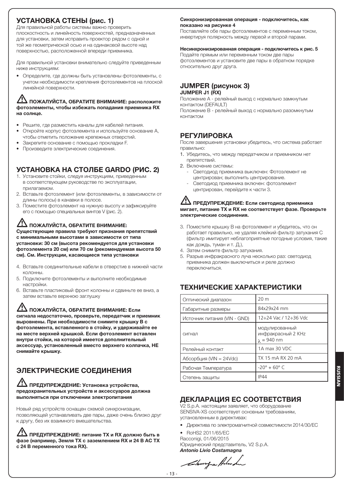# **УСТАНОВКА СТЕНЫ (рис. 1)**

Для правильной работы системы важно проверить плоскостность и линейность поверхностей, предназначенных для установки, затем исправить проектор рядом с одной и той же геометрической осью и на одинаковой высоте над поверхностью, расположенной впереди приемника.

Для правильной установки внимательно следуйте приведенным ниже инструкциям:

• Определите, где должны быть установлены фотоэлементы, с учетом необходимости крепления фотоэлементов на плоской линейной поверхности.

#### ${\mathop{{\bf M}{}}\limits$  пожалуйста, обратите внимание: расположите **фотоэлементы, чтобы избежать попадания приемника RX на солнце.**

- Решите, где разместить каналы для кабелей питания.
- Откройте корпус фотоэлемента и используйте основание A, чтобы отметить положение крепежных отверстий.
- Закрепите основание с помощью прокладки F.
- Произведите электрические соединения.

# **УСТАНОВКА НА СТОЛБЕ GARDO (РИС. 2)**

- 1. Установите стойки, следуя инструкциям, приведенным в соответствующем руководстве по эксплуатации, прилагаемом.
- 2. Вставьте фотоэлемент (или фотоэлементы, в зависимости от длины полосы) в канавки в полосе.
- 3. Поместите фотоэлемент на нужную высоту и зафиксируйте его с помощью специальных винтов V (рис. 2).

#### $\overline{\mathbf{r}}$  пожалуйста, обратите внимание:

**Существующие правила требуют признания препятствий с минимальными высотами в зависимости от типа установки: 30 см (высота рекомендуется для установки фотоэлемента 20 см) или 70 см (рекомендуемая высота 50 см). См. Инструкции, касающиеся типа установки**

- 4. Вставьте соединительные кабели в отверстие в нижней части колонны.
- 5. Подключите фотоэлементы и выполните необходимые настройки.
- 6. Вставьте пластиковый фронт колонны и сдвиньте ее вниз, а затем вставьте верхнюю заглушку

 $\overline{\mathcal{L}}$  пожалуйста, обратите внимание: Если **сигнала недостаточно, проверьте, передатчик и приемник выровнены. При необходимости снимите крышку B с фотоэлемента, вставленного в стойку, и удерживайте ее на месте верхней крышкой. Если фотоэлемент вставлен внутри стойки, на которой имеется дополнительный аксессуар, установленный вместо верхнего колпачка, НЕ снимайте крышку.**

# **ЭЛЕКТРИЧЕСКИЕ СОЕДИНЕНИЯ**

#### $\overline{\mathbf{r}}$  предупреждение: Установка устройства, **предохранительных устройств и аксессуаров должна выполняться при отключении электропитания**

Новый ряд устройств оснащен схемой синхронизации, позволяющей устанавливать две пары, даже очень близко друг к другу, без их взаимного вмешательства.

 $\overline{\mathcal{L}!}$  ПРЕДУПРЕЖДЕНИЕ: питание TX и RX должно быть в **фазе (например, Земля TX с заземлением RX и 24 В AC TX с 24 В переменного тока RX).** 

#### **Синхронизированная операция - подключитесь, как показано на рисунке 4**

Поставляйте обе пары фотоэлементов с переменным током, инвертируя полярность между первой и второй парами.

#### **Несинхронизированная операция - подключитесь к рис. 5**

Подайте прямым или переменным током две пары фотоэлементов и установите две пары в обратном порядке относительно друг друга.

#### **JUMPER (рисунок 3) JUMPER J1 (RX)**

Положение A - релейный выход с нормально замкнутым контактом (DEFAULT) Положение B - релейный выход с нормально разомкнутым контактом

#### **РЕГУЛИРОВКА**

После завершения установки убедитесь, что система работает правильно:

- 1. Убедитесь, что между передатчиком и приемником нет препятствий.
- 2. Включение системы:
	- Светодиод приемника выключен: Фотоэлемент не центрирован; выполнить центрирование.
	- Светодиод приемника включен: фотоэлемент центрирован, перейдите к части 3.

#### $\mathcal{L}_{\mathbf{2}}^{\mathbf{1}}$  предупреждение: Если светодиод приемника **мигает, питание TX и RX не соответствует фазе. Проверьте электрические соединения.**

- 3. Поместите крышку B на фотоэлемент и убедитесь, что он работает правильно, не удаляя клейкий фильтр затухания C (фильтр имитирует неблагоприятные погодные условия, такие как дождь, туман и т. Д.),
- 4. Затем снимите фильтр затухания.
- 5. Разрыв инфракрасного луча несколько раз: светодиод приемника должен выключиться и реле должно переключиться.

#### **ТЕХНИЧЕСКИЕ ХАРАКТЕРИСТИКИ**

| Оптический диапазон          | 20 <sub>m</sub>                                            |
|------------------------------|------------------------------------------------------------|
| Габаритные размеры           | 84x29x24 mm                                                |
| Источник питания (VIN - GND) | 12÷24 Vac / 12÷36 Vdc                                      |
| сигнал                       | модулированный<br>инфракрасный 2 KHz<br>$\lambda = 940$ nm |
| Релейный контакт             | 1A max 30 VDC                                              |
| $A6$ сорбция (VIN = 24Vdc)   | TX 15 mA RX 20 mA                                          |
| Рабочая Температура          | $-20^{\circ} + 60^{\circ}$ C                               |
| Степень защиты               | <b>IP44</b>                                                |

#### **ДЕКЛАРАЦИЯ ЕС СООТВЕТСТВИЯ**

V2 S.p.A. настоящим заявляет, что оборудование SENSIVA-XS соответствует основным требованиям, установленным в директивах:

- Директива по электромагнитной совместимости 2014/30/ЕС
- RoHS2 2011/65/EC

Racconigi, 01/06/2015 Юридический представитель, V2 S.p.A. *Antonio Livio Costamagna*

Chanope Alerden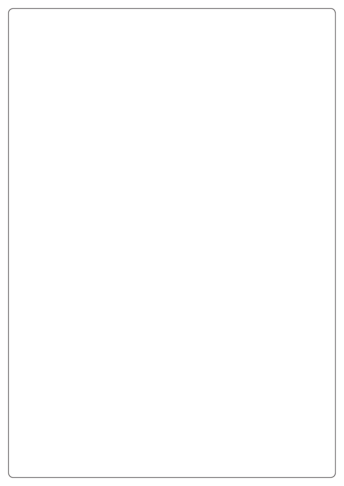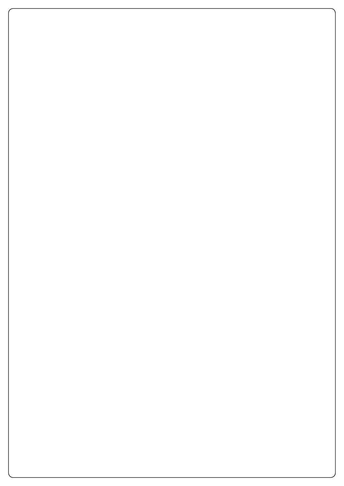